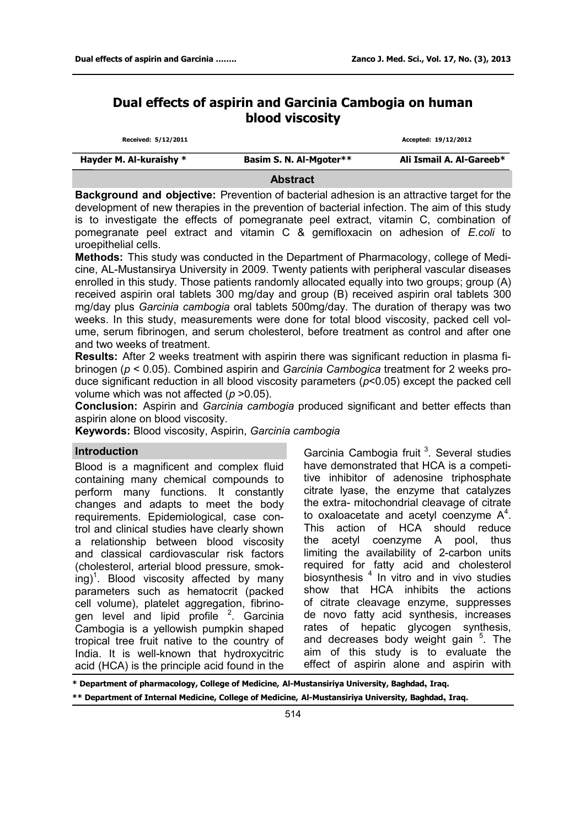# **Dual effects of aspirin and Garcinia Cambogia on human blood viscosity**

| Hayder M. Al-kuraishy * | Basim S. N. Al-Mgoter** | Ali Ismail A. Al-Gareeb* |
|-------------------------|-------------------------|--------------------------|
| Received: 5/12/2011     |                         | Accepted: 19/12/2012     |

**Abstract** 

**Background and objective:** Prevention of bacterial adhesion is an attractive target for the development of new therapies in the prevention of bacterial infection. The aim of this study is to investigate the effects of pomegranate peel extract, vitamin C, combination of pomegranate peel extract and vitamin C & gemifloxacin on adhesion of *E.coli* to uroepithelial cells.

**Methods:** This study was conducted in the Department of Pharmacology, college of Medicine, AL-Mustansirya University in 2009. Twenty patients with peripheral vascular diseases enrolled in this study. Those patients randomly allocated equally into two groups; group (A) received aspirin oral tablets 300 mg/day and group (B) received aspirin oral tablets 300 mg/day plus *Garcinia cambogia* oral tablets 500mg/day. The duration of therapy was two weeks. In this study, measurements were done for total blood viscosity, packed cell volume, serum fibrinogen, and serum cholesterol, before treatment as control and after one and two weeks of treatment.

**Results:** After 2 weeks treatment with aspirin there was significant reduction in plasma fibrinogen (*p* < 0.05). Combined aspirin and *Garcinia Cambogica* treatment for 2 weeks produce significant reduction in all blood viscosity parameters (*p*<0.05) except the packed cell volume which was not affected (*p* >0.05).

**Conclusion:** Aspirin and *Garcinia cambogia* produced significant and better effects than aspirin alone on blood viscosity.

**Keywords:** Blood viscosity, Aspirin, *Garcinia cambogia*

# **Introduction**

Blood is a magnificent and complex fluid containing many chemical compounds to perform many functions. It constantly changes and adapts to meet the body requirements. Epidemiological, case control and clinical studies have clearly shown a relationship between blood viscosity and classical cardiovascular risk factors (cholesterol, arterial blood pressure, smoking)<sup>1</sup>. Blood viscosity affected by many parameters such as hematocrit (packed cell volume), platelet aggregation, fibrinogen level and lipid profile <sup>2</sup>. Garcinia Cambogia is a yellowish pumpkin shaped tropical tree fruit native to the country of India. It is well-known that hydroxycitric acid (HCA) is the principle acid found in the

Garcinia Cambogia fruit<sup>3</sup>. Several studies have demonstrated that HCA is a competitive inhibitor of adenosine triphosphate citrate lyase, the enzyme that catalyzes the extra- mitochondrial cleavage of citrate to oxaloacetate and acetyl coenzyme  $A^4$ . This action of HCA should reduce the acetyl coenzyme A pool, thus limiting the availability of 2-carbon units required for fatty acid and cholesterol biosynthesis  $4$  In vitro and in vivo studies show that HCA inhibits the actions of citrate cleavage enzyme, suppresses de novo fatty acid synthesis, increases rates of hepatic glycogen synthesis, and decreases body weight gain <sup>5</sup>. The aim of this study is to evaluate the effect of aspirin alone and aspirin with

**\* Department of pharmacology, College of Medicine, Al-Mustansiriya University, Baghdad, Iraq. \*\* Department of Internal Medicine, College of Medicine, Al-Mustansiriya University, Baghdad, Iraq.**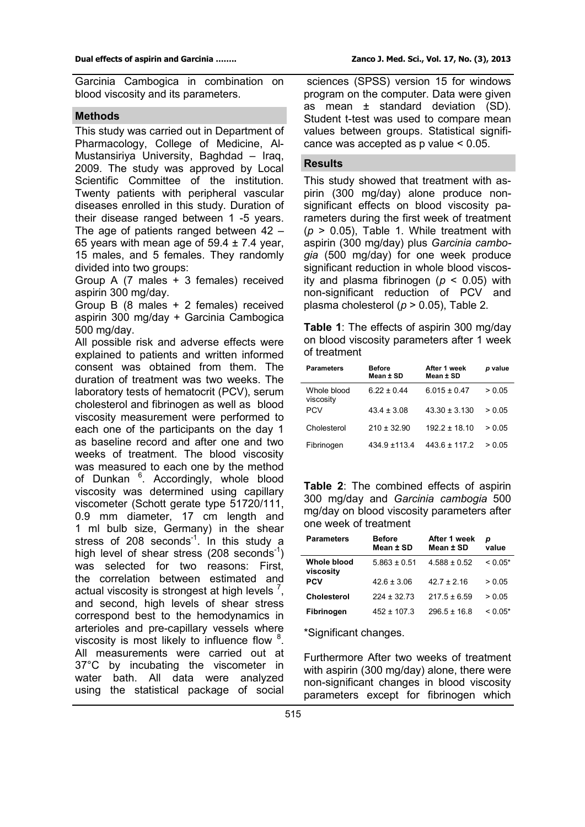Garcinia Cambogica in combination on blood viscosity and its parameters.

## **Methods**

This study was carried out in Department of Pharmacology, College of Medicine, Al-Mustansiriya University, Baghdad – Iraq, 2009. The study was approved by Local Scientific Committee of the institution. Twenty patients with peripheral vascular diseases enrolled in this study. Duration of their disease ranged between 1 -5 years. The age of patients ranged between 42 – 65 years with mean age of  $59.4 \pm 7.4$  year, 15 males, and 5 females. They randomly divided into two groups:

Group A (7 males + 3 females) received aspirin 300 mg/day.

Group B (8 males + 2 females) received aspirin 300 mg/day + Garcinia Cambogica 500 mg/day.

All possible risk and adverse effects were explained to patients and written informed consent was obtained from them. The duration of treatment was two weeks. The laboratory tests of hematocrit (PCV), serum cholesterol and fibrinogen as well as blood viscosity measurement were performed to each one of the participants on the day 1 as baseline record and after one and two weeks of treatment. The blood viscosity was measured to each one by the method of Dunkan <sup>6</sup>. Accordingly, whole blood viscosity was determined using capillary viscometer (Schott gerate type 51720/111, 0.9 mm diameter, 17 cm length and 1 ml bulb size, Germany) in the shear stress of 208 seconds $^{-1}$ . In this study a high level of shear stress (208 seconds<sup>-1</sup>) was selected for two reasons: First, the correlation between estimated and actual viscosity is strongest at high levels  $<sup>7</sup>$ ,</sup> and second, high levels of shear stress correspond best to the hemodynamics in arterioles and pre-capillary vessels where viscosity is most likely to influence flow  $8$ . All measurements were carried out at 37°C by incubating the viscometer in water bath. All data were analyzed using the statistical package of social

sciences (SPSS) version 15 for windows program on the computer. Data were given as mean ± standard deviation (SD). Student t-test was used to compare mean values between groups. Statistical significance was accepted as p value < 0.05.

# **Results**

This study showed that treatment with aspirin (300 mg/day) alone produce nonsignificant effects on blood viscosity parameters during the first week of treatment  $(p > 0.05)$ , Table 1. While treatment with aspirin (300 mg/day) plus *Garcinia cambogia* (500 mg/day) for one week produce significant reduction in whole blood viscosity and plasma fibrinogen (*p* < 0.05) with non-significant reduction of PCV and plasma cholesterol (*p* > 0.05), Table 2.

**Table 1**: The effects of aspirin 300 mg/day on blood viscosity parameters after 1 week of treatment

| <b>Parameters</b>        | <b>Before</b><br>Mean ± SD | After 1 week<br>Mean ± SD | p value |
|--------------------------|----------------------------|---------------------------|---------|
| Whole blood<br>viscosity | $6.22 \pm 0.44$            | $6.015 \pm 0.47$          | > 0.05  |
| <b>PCV</b>               | $43.4 \pm 3.08$            | $43.30 \pm 3.130$         | > 0.05  |
| Cholesterol              | $210 \pm 32.90$            | $1922 + 1810$             | > 0.05  |
| Fibrinogen               | 434 9 + 113 4              | $4436 + 1172$             | > 0.05  |

**Table 2**: The combined effects of aspirin 300 mg/day and *Garcinia cambogia* 500 mg/day on blood viscosity parameters after one week of treatment

| <b>Parameters</b>        | <b>Before</b><br>Mean ± SD | After 1 week<br>Mean ± SD | р<br>value |
|--------------------------|----------------------------|---------------------------|------------|
| Whole blood<br>viscosity | $5.863 \pm 0.51$           | $4.588 \pm 0.52$          | $< 0.05*$  |
| PCV                      | $42.6 \pm 3.06$            | $427 + 216$               | > 0.05     |
| Cholesterol              | $224 \pm 32.73$            | $217.5 \pm 6.59$          | > 0.05     |
| Fibrinogen               | $452 \pm 107.3$            | $296.5 \pm 16.8$          | $< 0.05*$  |

\*Significant changes.

Furthermore After two weeks of treatment with aspirin (300 mg/day) alone, there were non-significant changes in blood viscosity parameters except for fibrinogen which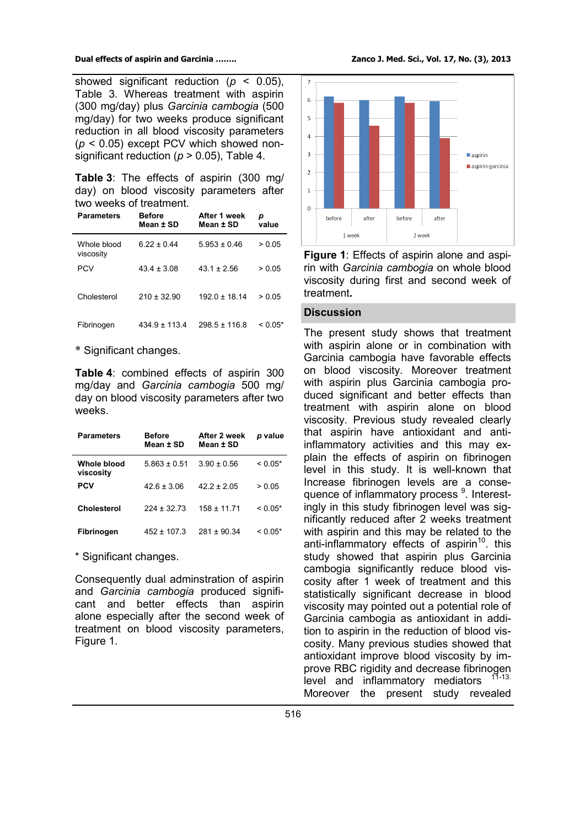showed significant reduction ( $p < 0.05$ ), Table 3. Whereas treatment with aspirin (300 mg/day) plus *Garcinia cambogia* (500 mg/day) for two weeks produce significant reduction in all blood viscosity parameters (*p* < 0.05) except PCV which showed nonsignificant reduction ( $p > 0.05$ ), Table 4.

**Table 3**: The effects of aspirin (300 mg/ day) on blood viscosity parameters after two weeks of treatment.

| <b>Parameters</b>        | <b>Before</b><br>Mean ± SD | After 1 week<br>Mean ± SD | р<br>value |
|--------------------------|----------------------------|---------------------------|------------|
| Whole blood<br>viscosity | $622 + 044$                | $5.953 + 0.46$            | > 0.05     |
| <b>PCV</b>               | $434 + 308$                | $431 + 256$               | > 0.05     |
| Cholesterol              | $210 + 3290$               | $1920 + 1814$             | > 0.05     |
| Fibrinogen               | $434.9 \pm 113.4$          | $298.5 \pm 116.8$         | $< 0.05*$  |

\* Significant changes.

**Table 4**: combined effects of aspirin 300 mg/day and *Garcinia cambogia* 500 mg/ day on blood viscosity parameters after two weeks.

| <b>Parameters</b>        | <b>Before</b><br>Mean ± SD | After 2 week<br>Mean ± SD | p value   |
|--------------------------|----------------------------|---------------------------|-----------|
| Whole blood<br>viscosity | $5.863 \pm 0.51$           | $3.90 \pm 0.56$           | $< 0.05*$ |
| PCV                      | $42.6 \pm 3.06$            | $422 + 205$               | > 0.05    |
| Cholesterol              | $224 + 3273$               | $158 \pm 11.71$           | $< 0.05*$ |
| Fibrinogen               | $452 \pm 107.3$            | $281 + 90.34$             | $< 0.05*$ |

\* Significant changes.

Consequently dual adminstration of aspirin and *Garcinia cambogia* produced significant and better effects than aspirin alone especially after the second week of treatment on blood viscosity parameters, Figure 1.



**Figure 1**: Effects of aspirin alone and aspirin with *Garcinia cambogia* on whole blood viscosity during first and second week of treatment**.**

## **Discussion**

The present study shows that treatment with aspirin alone or in combination with Garcinia cambogia have favorable effects on blood viscosity. Moreover treatment with aspirin plus Garcinia cambogia produced significant and better effects than treatment with aspirin alone on blood viscosity. Previous study revealed clearly that aspirin have antioxidant and antiinflammatory activities and this may explain the effects of aspirin on fibrinogen level in this study. It is well-known that Increase fibrinogen levels are a consequence of inflammatory process <sup>9</sup>. Interestingly in this study fibrinogen level was significantly reduced after 2 weeks treatment with aspirin and this may be related to the anti-inflammatory effects of aspirin<sup>10</sup>. this study showed that aspirin plus Garcinia cambogia significantly reduce blood viscosity after 1 week of treatment and this statistically significant decrease in blood viscosity may pointed out a potential role of Garcinia cambogia as antioxidant in addition to aspirin in the reduction of blood viscosity. Many previous studies showed that antioxidant improve blood viscosity by improve RBC rigidity and decrease fibrinogen level and inflammatory mediators Moreover the present study revealed